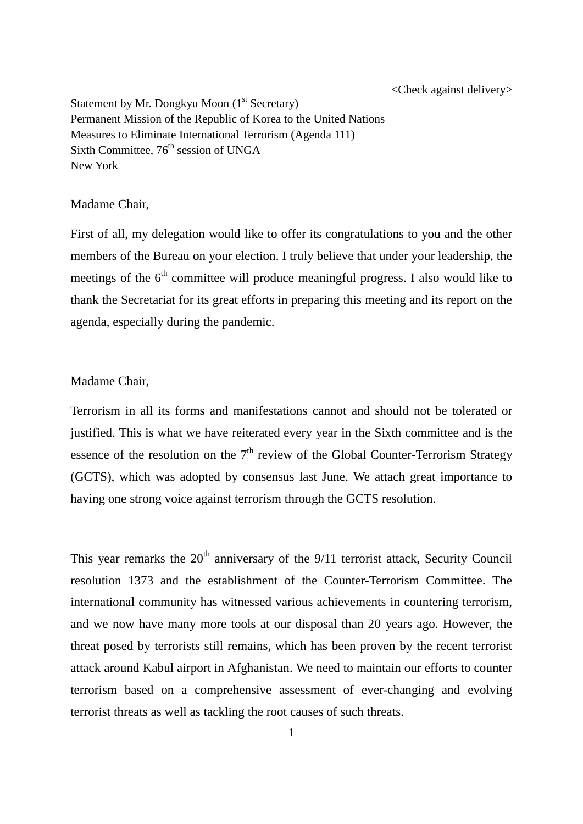<Check against delivery>

Statement by Mr. Dongkyu Moon (1<sup>st</sup> Secretary) Permanent Mission of the Republic of Korea to the United Nations Measures to Eliminate International Terrorism (Agenda 111) Sixth Committee, 76<sup>th</sup> session of UNGA New York

## Madame Chair,

First of all, my delegation would like to offer its congratulations to you and the other members of the Bureau on your election. I truly believe that under your leadership, the meetings of the  $6<sup>th</sup>$  committee will produce meaningful progress. I also would like to thank the Secretariat for its great efforts in preparing this meeting and its report on the agenda, especially during the pandemic.

## Madame Chair,

Terrorism in all its forms and manifestations cannot and should not be tolerated or justified. This is what we have reiterated every year in the Sixth committee and is the essence of the resolution on the  $7<sup>th</sup>$  review of the Global Counter-Terrorism Strategy (GCTS), which was adopted by consensus last June. We attach great importance to having one strong voice against terrorism through the GCTS resolution.

This year remarks the  $20<sup>th</sup>$  anniversary of the  $9/11$  terrorist attack, Security Council resolution 1373 and the establishment of the Counter-Terrorism Committee. The international community has witnessed various achievements in countering terrorism, and we now have many more tools at our disposal than 20 years ago. However, the threat posed by terrorists still remains, which has been proven by the recent terrorist attack around Kabul airport in Afghanistan. We need to maintain our efforts to counter terrorism based on a comprehensive assessment of ever-changing and evolving terrorist threats as well as tackling the root causes of such threats.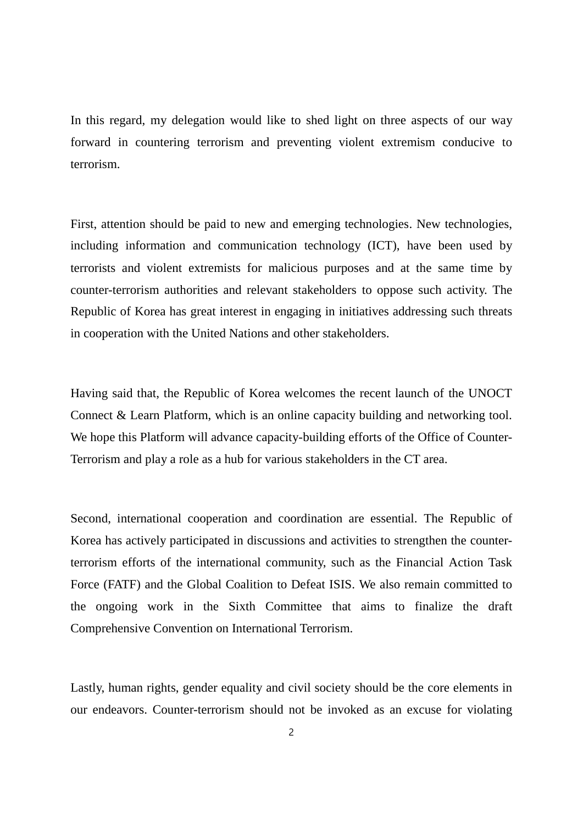In this regard, my delegation would like to shed light on three aspects of our way forward in countering terrorism and preventing violent extremism conducive to terrorism.

First, attention should be paid to new and emerging technologies. New technologies, including information and communication technology (ICT), have been used by terrorists and violent extremists for malicious purposes and at the same time by counter-terrorism authorities and relevant stakeholders to oppose such activity. The Republic of Korea has great interest in engaging in initiatives addressing such threats in cooperation with the United Nations and other stakeholders.

Having said that, the Republic of Korea welcomes the recent launch of the UNOCT Connect & Learn Platform, which is an online capacity building and networking tool. We hope this Platform will advance capacity-building efforts of the Office of Counter-Terrorism and play a role as a hub for various stakeholders in the CT area.

Second, international cooperation and coordination are essential. The Republic of Korea has actively participated in discussions and activities to strengthen the counterterrorism efforts of the international community, such as the Financial Action Task Force (FATF) and the Global Coalition to Defeat ISIS. We also remain committed to the ongoing work in the Sixth Committee that aims to finalize the draft Comprehensive Convention on International Terrorism.

Lastly, human rights, gender equality and civil society should be the core elements in our endeavors. Counter-terrorism should not be invoked as an excuse for violating